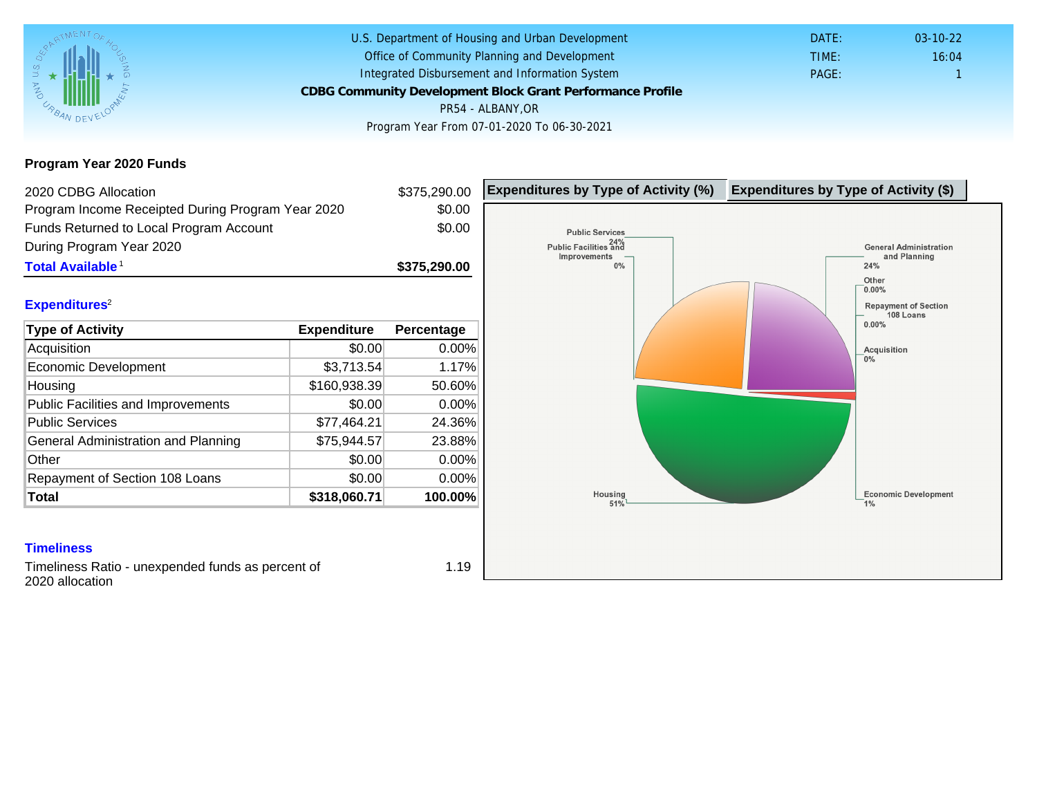## Program Year 2020 Funds

| 2020 CDBG Allocation                                                 |              | \$375,290.00 | Expenditures by Type of Activity (%) | Expenditure |
|----------------------------------------------------------------------|--------------|--------------|--------------------------------------|-------------|
| Program Income Receipted During Program Year 2020                    |              | \$0.00       |                                      |             |
| Funds Returned to Local Program Account                              |              | \$0.00       |                                      |             |
| During Program Year 2020                                             |              |              |                                      |             |
| Total Available <sup>1</sup>                                         |              | \$375,290.00 |                                      |             |
|                                                                      |              |              |                                      |             |
| Expenditures <sup>2</sup>                                            |              |              |                                      |             |
| Type of Activity                                                     | Expenditure  | Percentage   |                                      |             |
| Acquisition                                                          | \$0.00       | 0.00%        |                                      |             |
| <b>Economic Development</b>                                          | \$3,713.54   | 1.17%        |                                      |             |
| Housing                                                              | \$160,938.39 | 50.60%       |                                      |             |
| <b>Public Facilities and Improvements</b>                            | \$0.00       | 0.00%        |                                      |             |
| <b>Public Services</b>                                               | \$77,464.21  | 24.36%       |                                      |             |
| General Administration and Planning                                  | \$75,944.57  | 23.88%       |                                      |             |
| Other                                                                | \$0.00       | 0.00%        |                                      |             |
| Repayment of Section 108 Loans                                       | \$0.00       | 0.00%        |                                      |             |
| Total                                                                | \$318,060.71 | 100.00%      |                                      |             |
|                                                                      |              |              |                                      |             |
| <b>Timeliness</b>                                                    |              |              |                                      |             |
| Timeliness Ratio - unexpended funds as percent of<br>2020 allocation |              | 1.19         |                                      |             |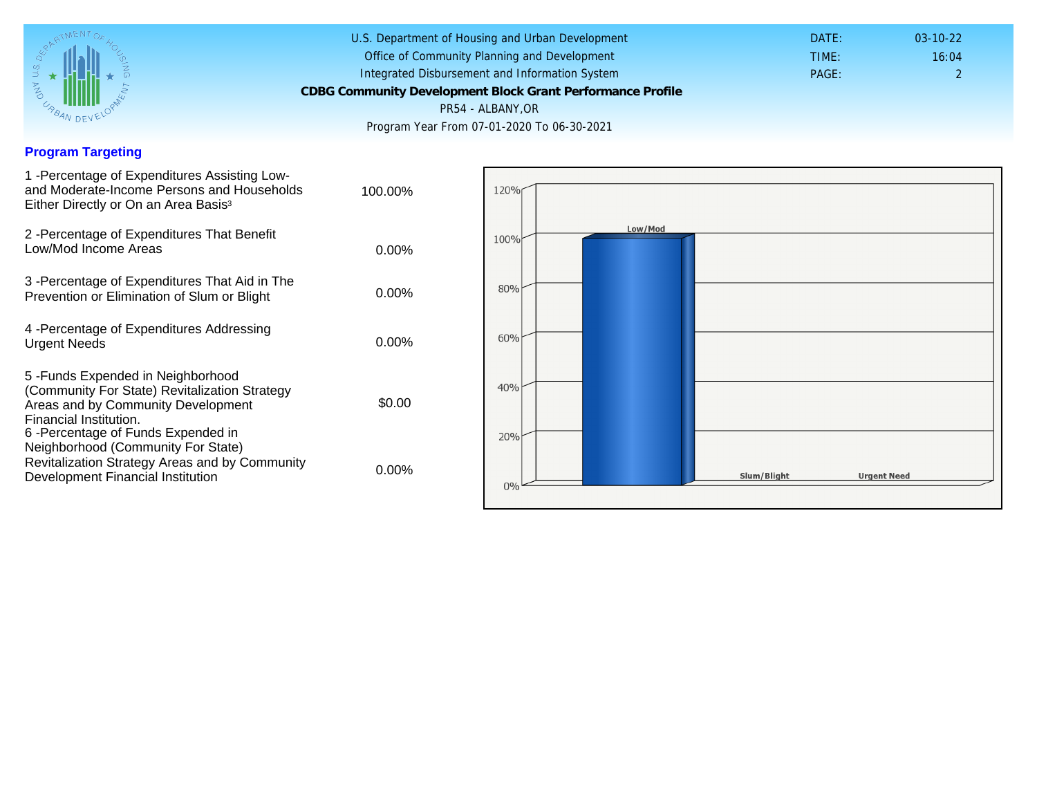#### Program Targeting

| 1 -Percentage of Expenditures Assisting Low-<br>and Moderate-Income Persons and Households<br>Either Directly or On an Area Basis <sup>3</sup>                                                                               | 100.00%  |
|------------------------------------------------------------------------------------------------------------------------------------------------------------------------------------------------------------------------------|----------|
| 2 - Percentage of Expenditures That Benefit<br>Low/Mod Income Areas                                                                                                                                                          | $0.00\%$ |
| 3 - Percentage of Expenditures That Aid in The<br>Prevention or Elimination of Slum or Blight                                                                                                                                | $0.00\%$ |
| 4 - Percentage of Expenditures Addressing<br><b>Urgent Needs</b>                                                                                                                                                             | $0.00\%$ |
| 5-Funds Expended in Neighborhood<br>(Community For State) Revitalization Strategy<br>Areas and by Community Development<br>Financial Institution.<br>6-Percentage of Funds Expended in<br>Neighborhood (Community For State) | \$0.00   |
| Revitalization Strategy Areas and by Community<br>Development Financial Institution                                                                                                                                          | 0.00%    |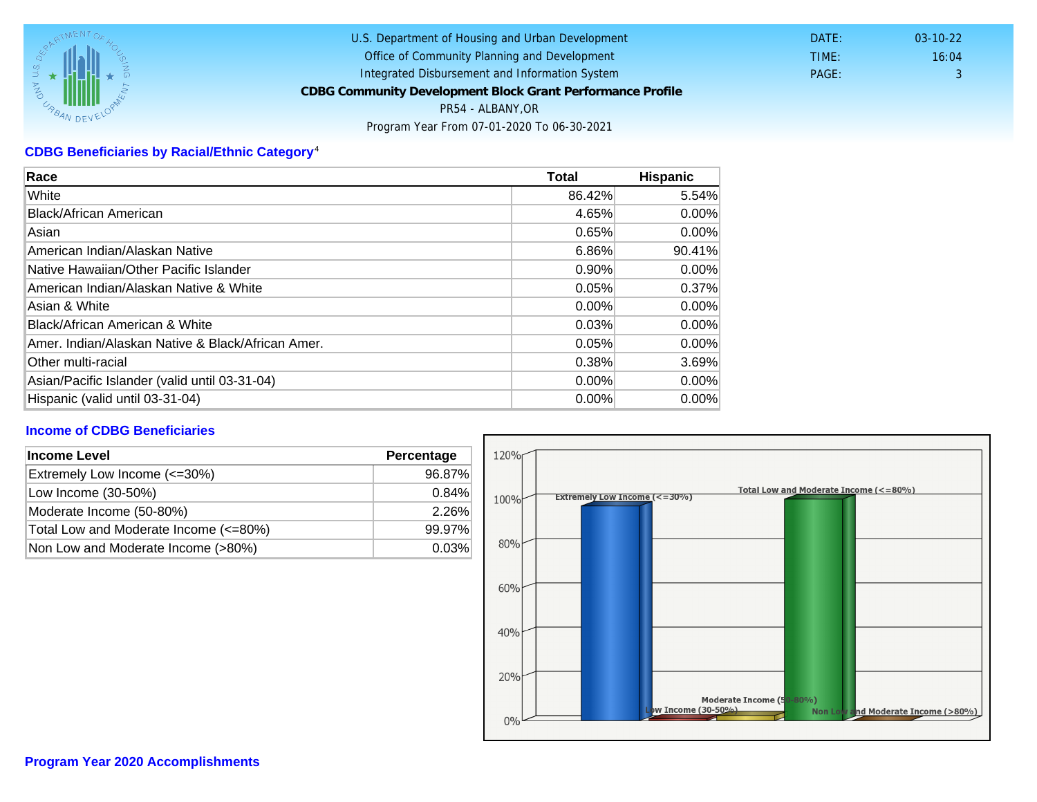# CDBG Beneficiaries by Racial/Ethnic Category <sup>4</sup>

| Race                                              | Total    | Hispanic |
|---------------------------------------------------|----------|----------|
| White                                             | 86.42%   | 5.54%    |
| Black/African American                            | 4.65%    | $0.00\%$ |
| Asian                                             | 0.65%    | $0.00\%$ |
| American Indian/Alaskan Native                    | 6.86%    | 90.41%   |
| Native Hawaiian/Other Pacific Islander            | $0.90\%$ | $0.00\%$ |
| American Indian/Alaskan Native & White            | 0.05%    | 0.37%    |
| Asian & White                                     | $0.00\%$ | $0.00\%$ |
| Black/African American & White                    | 0.03%    | 0.00%    |
| Amer. Indian/Alaskan Native & Black/African Amer. | 0.05%    | $0.00\%$ |
| <b>Other multi-racial</b>                         | 0.38%    | 3.69%    |
| Asian/Pacific Islander (valid until 03-31-04)     | $0.00\%$ | 0.00%    |
| Hispanic (valid until 03-31-04)                   | 0.00%    | 0.00%    |

### Income of CDBG Beneficiaries

| Income Level                          | Percentage |  |
|---------------------------------------|------------|--|
| Extremely Low Income (<=30%)          | 96.87%     |  |
| Low Income (30-50%)                   | $0.84\%$   |  |
| Moderate Income (50-80%)              | 2.26%      |  |
| Total Low and Moderate Income (<=80%) | 99.97%     |  |
| Non Low and Moderate Income (>80%)    | 0.03%      |  |